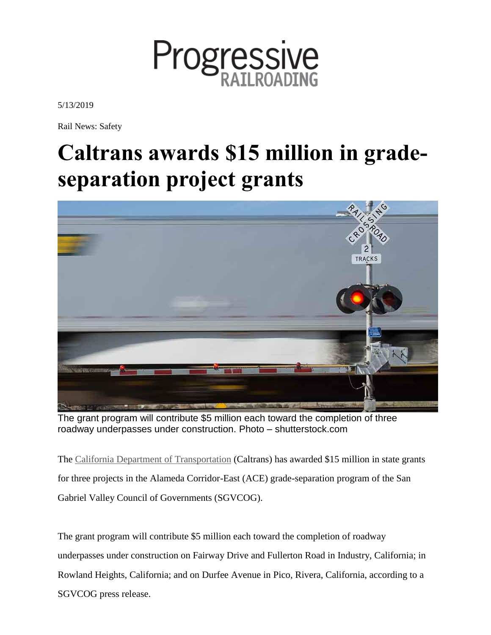

5/13/2019

Rail News: Safety

## **Caltrans awards \$15 million in gradeseparation project grants**



The grant program will contribute \$5 million each toward the completion of three roadway underpasses under construction. Photo – shutterstock.com

The California Department of [Transportation](http://www.caltrans.ca.gov/) (Caltrans) has awarded \$15 million in state grants for three projects in the Alameda Corridor-East (ACE) grade-separation program of the San Gabriel Valley Council of Governments (SGVCOG).

The grant program will contribute \$5 million each toward the completion of roadway underpasses under construction on Fairway Drive and Fullerton Road in Industry, California; in Rowland Heights, California; and on Durfee Avenue in Pico, Rivera, California, according to a SGVCOG press release.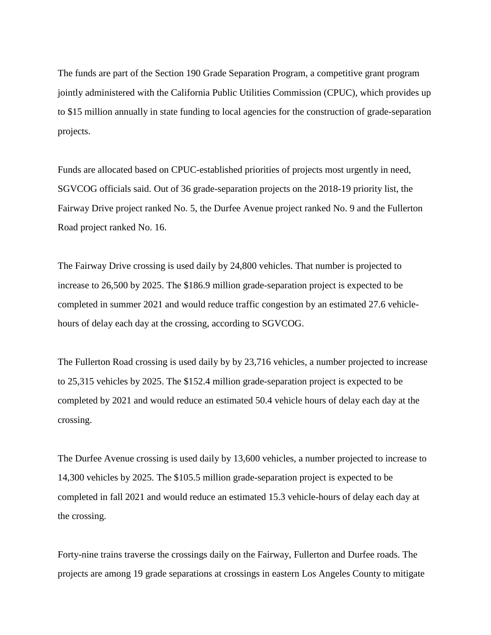The funds are part of the Section 190 Grade Separation Program, a competitive grant program jointly administered with the California Public Utilities Commission (CPUC), which provides up to \$15 million annually in state funding to local agencies for the construction of grade-separation projects.

Funds are allocated based on CPUC-established priorities of projects most urgently in need, SGVCOG officials said. Out of 36 grade-separation projects on the 2018-19 priority list, the Fairway Drive project ranked No. 5, the Durfee Avenue project ranked No. 9 and the Fullerton Road project ranked No. 16.

The Fairway Drive crossing is used daily by 24,800 vehicles. That number is projected to increase to 26,500 by 2025. The \$186.9 million grade-separation project is expected to be completed in summer 2021 and would reduce traffic congestion by an estimated 27.6 vehiclehours of delay each day at the crossing, according to SGVCOG.

The Fullerton Road crossing is used daily by by 23,716 vehicles, a number projected to increase to 25,315 vehicles by 2025. The \$152.4 million grade-separation project is expected to be completed by 2021 and would reduce an estimated 50.4 vehicle hours of delay each day at the crossing.

The Durfee Avenue crossing is used daily by 13,600 vehicles, a number projected to increase to 14,300 vehicles by 2025. The \$105.5 million grade-separation project is expected to be completed in fall 2021 and would reduce an estimated 15.3 vehicle-hours of delay each day at the crossing.

Forty-nine trains traverse the crossings daily on the Fairway, Fullerton and Durfee roads. The projects are among 19 grade separations at crossings in eastern Los Angeles County to mitigate